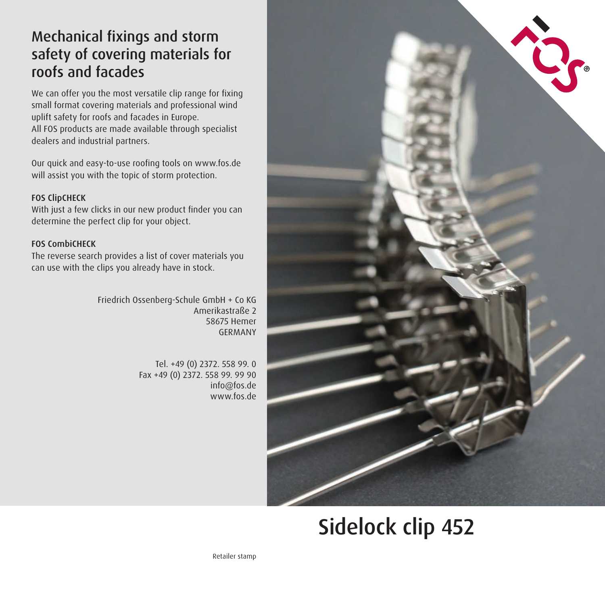## Mechanical fixings and storm safety of covering materials for roofs and facades

We can offer you the most versatile clip range for fixing small format covering materials and professional wind uplift safety for roofs and facades in Europe. All FOS products are made available through specialist dealers and industrial partners.

Our quick and easy-to-use roofing tools on www.fos.de will assist you with the topic of storm protection.

### FOS ClipCHECK

With just a few clicks in our new product finder you can determine the perfect clip for your object.

### FOS CombiCHECK

The reverse search provides a list of cover materials you can use with the clips you already have in stock.

> Friedrich Ossenberg-Schule GmbH + Co KG Amerikastraße 2 58675 Hemer GERMANY

> > Tel. +49 (0) 2372. 558 99. 0 Fax +49 (0) 2372. 558 99. 99 90 info@fos.de www.fos.de



# Sidelock clip 452